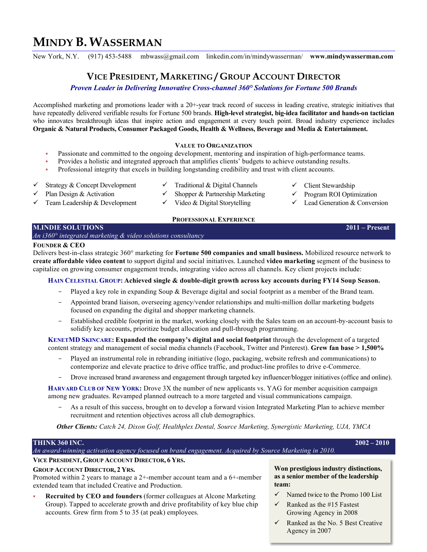# **MINDY B. WASSERMAN**

New York, N.Y. (917) 453-5488 mbwass@gmail.com linkedin.com/in/mindywasserman/ **www.mindywasserman.com**

# **VICE PRESIDENT, MARKETING / GROUP ACCOUNT DIRECTOR**

*Proven Leader in Delivering Innovative Cross-channel 360° Solutions for Fortune 500 Brands*

Accomplished marketing and promotions leader with a 20+-year track record of success in leading creative, strategic initiatives that have repeatedly delivered verifiable results for Fortune 500 brands. **High-level strategist, big-idea facilitator and hands-on tactician** who innovates breakthrough ideas that inspire action and engagement at every touch point. Broad industry experience includes **Organic & Natural Products, Consumer Packaged Goods, Health & Wellness, Beverage and Media & Entertainment.**

## **VALUE TO ORGANIZATION**

- Passionate and committed to the ongoing development, mentoring and inspiration of high-performance teams.
- Provides a holistic and integrated approach that amplifies clients' budgets to achieve outstanding results.
- Professional integrity that excels in building longstanding credibility and trust with client accounts.
- $\checkmark$  Strategy & Concept Development  $\checkmark$  Traditional & Digital Channels  $\checkmark$  Client Stewardship
	-
- Plan Design & Activation  $\checkmark$  Shopper & Partnership Marketing  $\checkmark$  Program ROI Optimization
- Team Leadership & Development  $\checkmark$  Video & Digital Storytelling  $\checkmark$  Lead Generation & Conversion
- 
- -

#### **PROFESSIONAL EXPERIENCE M.INDIE SOLUTIONS 2011 – Present**

# *An i360° integrated marketing & video solutions consultancy*

## **FOUNDER & CEO**

Delivers best-in-class strategic 360° marketing for **Fortune 500 companies and small business.** Mobilized resource network to **create affordable video content** to support digital and social initiatives. Launched **video marketing** segment of the business to capitalize on growing consumer engagement trends, integrating video across all channels. Key client projects include:

# **HAIN CELESTIAL GROUP: Achieved single & double-digit growth across key accounts during FY14 Soup Season.**

- Played a key role in expanding Soup & Beverage digital and social footprint as a member of the Brand team.
- Appointed brand liaison, overseeing agency/vendor relationships and multi-million dollar marketing budgets focused on expanding the digital and shopper marketing channels.
- Established credible footprint in the market, working closely with the Sales team on an account-by-account basis to solidify key accounts, prioritize budget allocation and pull-through programming.

**KENETMD SKINCARE: Expanded the company's digital and social footprint** through the development of a targeted content strategy and management of social media channels (Facebook, Twitter and Pinterest). **Grew fan base > 1,500%**

- Played an instrumental role in rebranding initiative (logo, packaging, website refresh and communications) to contemporize and elevate practice to drive office traffic, and product-line profiles to drive e-Commerce.
- Drove increased brand awareness and engagement through targeted key influencer/blogger initiatives (office and online).

**HARVARD CLUB OF NEW YORK:** Drove 3X the number of new applicants vs. YAG for member acquisition campaign among new graduates. Revamped planned outreach to a more targeted and visual communications campaign.

As a result of this success, brought on to develop a forward vision Integrated Marketing Plan to achieve member recruitment and retention objectives across all club demographics.

*Other Clients: Catch 24, Dixon Golf, Healthplex Dental, Source Marketing, Synergistic Marketing, UJA, YMCA*

## **THINK 360 INC. 2002 – 2010**

*An award-winning activation agency focused on brand engagement. Acquired by Source Marketing in 2010.* 

# **VICE PRESIDENT, GROUP ACCOUNT DIRECTOR, 6 YRS.**

#### **GROUP ACCOUNT DIRECTOR, 2 YRS.**

Promoted within 2 years to manage a 2+-member account team and a 6+-member extended team that included Creative and Production.

§ **Recruited by CEO and founders** (former colleagues at Alcone Marketing Group). Tapped to accelerate growth and drive profitability of key blue chip accounts. Grew firm from 5 to 35 (at peak) employees.

#### **Won prestigious industry distinctions, as a senior member of the leadership team:**

- $\checkmark$  Named twice to the Promo 100 List
- $\checkmark$  Ranked as the #15 Fastest Growing Agency in 2008
- $\checkmark$  Ranked as the No. 5 Best Creative Agency in 2007
- 
- 
-